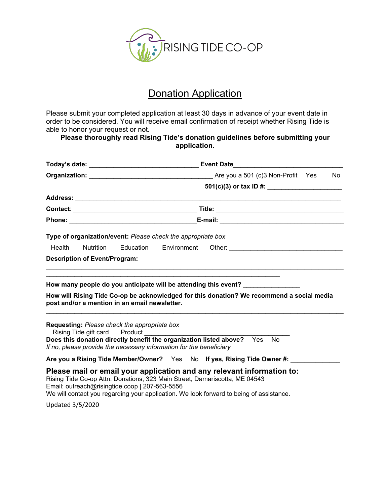

## **Donation Application**

Please submit your completed application at least 30 days in advance of your event date in order to be considered. You will receive email confirmation of receipt whether Rising Tide is able to honor your request or not.

## **Please thoroughly read Rising Tide's donation guidelines before submitting your application.**

|                         |                                      |                                                |                                                                     |                                                                                                                                                                                                                                                 |  | No. |  |
|-------------------------|--------------------------------------|------------------------------------------------|---------------------------------------------------------------------|-------------------------------------------------------------------------------------------------------------------------------------------------------------------------------------------------------------------------------------------------|--|-----|--|
|                         |                                      | $501(c)(3)$ or tax ID #:                       |                                                                     |                                                                                                                                                                                                                                                 |  |     |  |
|                         |                                      |                                                |                                                                     |                                                                                                                                                                                                                                                 |  |     |  |
|                         |                                      |                                                |                                                                     |                                                                                                                                                                                                                                                 |  |     |  |
|                         |                                      |                                                |                                                                     |                                                                                                                                                                                                                                                 |  |     |  |
|                         |                                      |                                                | Type of organization/event: Please check the appropriate box        |                                                                                                                                                                                                                                                 |  |     |  |
| Health                  | <b>Nutrition</b>                     |                                                |                                                                     |                                                                                                                                                                                                                                                 |  |     |  |
|                         | <b>Description of Event/Program:</b> |                                                |                                                                     |                                                                                                                                                                                                                                                 |  |     |  |
|                         |                                      |                                                |                                                                     |                                                                                                                                                                                                                                                 |  |     |  |
|                         |                                      |                                                |                                                                     | How many people do you anticipate will be attending this event? ________________                                                                                                                                                                |  |     |  |
|                         |                                      | post and/or a mention in an email newsletter.  |                                                                     | How will Rising Tide Co-op be acknowledged for this donation? We recommend a social media                                                                                                                                                       |  |     |  |
|                         | Rising Tide gift card Product        | Requesting: Please check the appropriate box   |                                                                     | Does this donation directly benefit the organization listed above? Yes No                                                                                                                                                                       |  |     |  |
|                         |                                      |                                                | If no, please provide the necessary information for the beneficiary |                                                                                                                                                                                                                                                 |  |     |  |
|                         |                                      |                                                |                                                                     | Are you a Rising Tide Member/Owner? Yes No If yes, Rising Tide Owner #:                                                                                                                                                                         |  |     |  |
|                         |                                      | Email: outreach@risingtide.coop   207-563-5556 |                                                                     | Please mail or email your application and any relevant information to:<br>Rising Tide Co-op Attn: Donations, 323 Main Street, Damariscotta, ME 04543<br>We will contact you regarding your application. We look forward to being of assistance. |  |     |  |
| <b>Updated 3/5/2020</b> |                                      |                                                |                                                                     |                                                                                                                                                                                                                                                 |  |     |  |